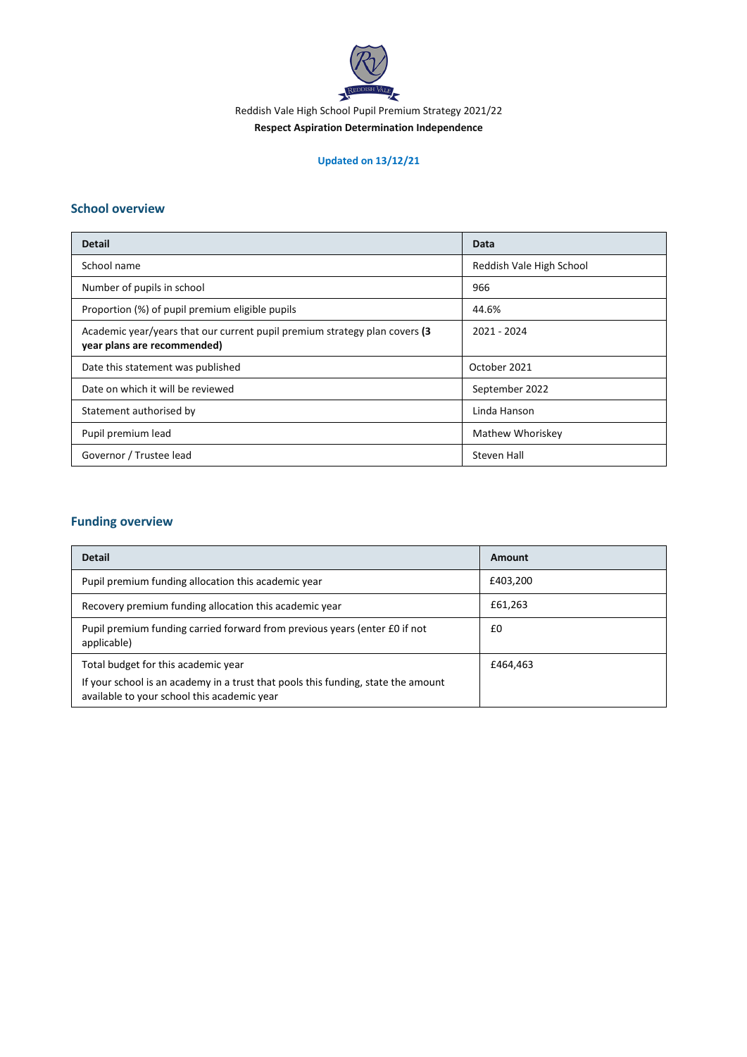

Reddish Vale High School Pupil Premium Strategy 2021/22

#### **Respect Aspiration Determination Independence**

## **Updated on 13/12/21**

#### **School overview**

| <b>Detail</b>                                                                                              | Data                     |
|------------------------------------------------------------------------------------------------------------|--------------------------|
| School name                                                                                                | Reddish Vale High School |
| Number of pupils in school                                                                                 | 966                      |
| Proportion (%) of pupil premium eligible pupils                                                            | 44.6%                    |
| Academic year/years that our current pupil premium strategy plan covers (3)<br>year plans are recommended) | 2021 - 2024              |
| Date this statement was published                                                                          | October 2021             |
| Date on which it will be reviewed                                                                          | September 2022           |
| Statement authorised by                                                                                    | Linda Hanson             |
| Pupil premium lead                                                                                         | Mathew Whoriskey         |
| Governor / Trustee lead                                                                                    | Steven Hall              |

## **Funding overview**

| <b>Detail</b>                                                                                                                    | Amount   |
|----------------------------------------------------------------------------------------------------------------------------------|----------|
| Pupil premium funding allocation this academic year                                                                              | £403,200 |
| Recovery premium funding allocation this academic year                                                                           | £61,263  |
| Pupil premium funding carried forward from previous years (enter £0 if not<br>applicable)                                        | £0       |
| Total budget for this academic year                                                                                              | £464.463 |
| If your school is an academy in a trust that pools this funding, state the amount<br>available to your school this academic year |          |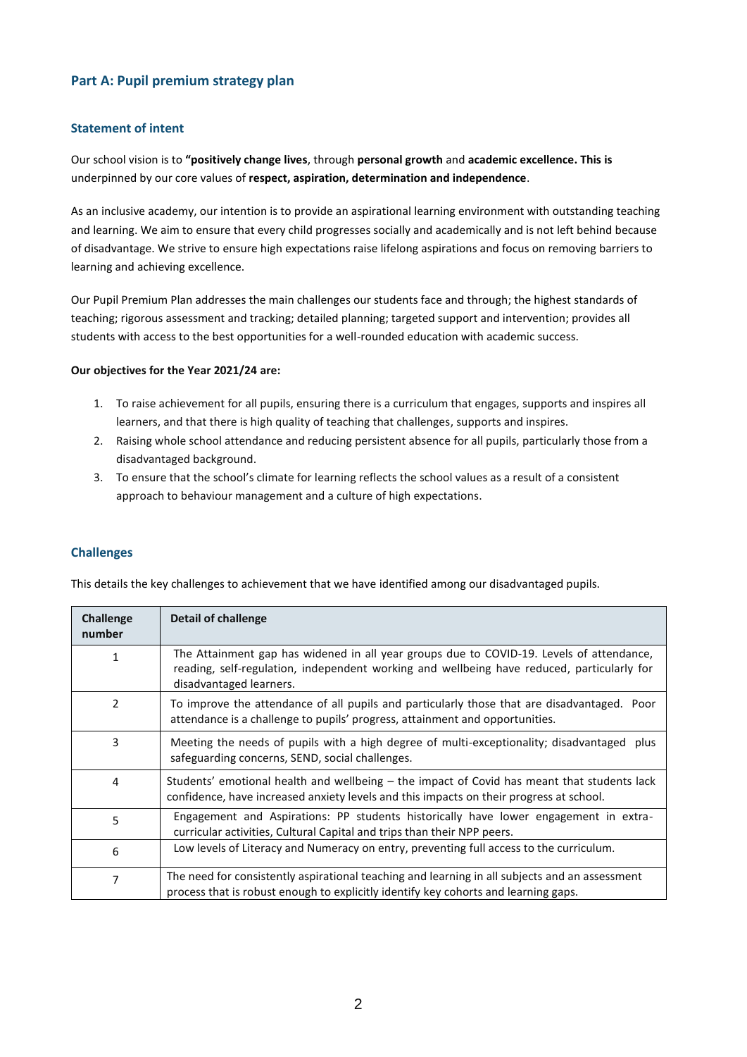## **Part A: Pupil premium strategy plan**

#### **Statement of intent**

Our school vision is to **"positively change lives**, through **personal growth** and **academic excellence. This is** underpinned by our core values of **respect, aspiration, determination and independence**.

As an inclusive academy, our intention is to provide an aspirational learning environment with outstanding teaching and learning. We aim to ensure that every child progresses socially and academically and is not left behind because of disadvantage. We strive to ensure high expectations raise lifelong aspirations and focus on removing barriers to learning and achieving excellence.

Our Pupil Premium Plan addresses the main challenges our students face and through; the highest standards of teaching; rigorous assessment and tracking; detailed planning; targeted support and intervention; provides all students with access to the best opportunities for a well-rounded education with academic success.

#### **Our objectives for the Year 2021/24 are:**

- 1. To raise achievement for all pupils, ensuring there is a curriculum that engages, supports and inspires all learners, and that there is high quality of teaching that challenges, supports and inspires.
- 2. Raising whole school attendance and reducing persistent absence for all pupils, particularly those from a disadvantaged background.
- 3. To ensure that the school's climate for learning reflects the school values as a result of a consistent approach to behaviour management and a culture of high expectations.

#### **Challenges**

This details the key challenges to achievement that we have identified among our disadvantaged pupils.

| <b>Challenge</b><br>number | Detail of challenge                                                                                                                                                                                               |
|----------------------------|-------------------------------------------------------------------------------------------------------------------------------------------------------------------------------------------------------------------|
|                            | The Attainment gap has widened in all year groups due to COVID-19. Levels of attendance,<br>reading, self-regulation, independent working and wellbeing have reduced, particularly for<br>disadvantaged learners. |
| $\mathcal{P}$              | To improve the attendance of all pupils and particularly those that are disadvantaged. Poor<br>attendance is a challenge to pupils' progress, attainment and opportunities.                                       |
| 3                          | Meeting the needs of pupils with a high degree of multi-exceptionality; disadvantaged<br>plus<br>safeguarding concerns, SEND, social challenges.                                                                  |
| 4                          | Students' emotional health and wellbeing – the impact of Covid has meant that students lack<br>confidence, have increased anxiety levels and this impacts on their progress at school.                            |
| 5                          | Engagement and Aspirations: PP students historically have lower engagement in extra-<br>curricular activities, Cultural Capital and trips than their NPP peers.                                                   |
| 6                          | Low levels of Literacy and Numeracy on entry, preventing full access to the curriculum.                                                                                                                           |
| 7                          | The need for consistently aspirational teaching and learning in all subjects and an assessment<br>process that is robust enough to explicitly identify key cohorts and learning gaps.                             |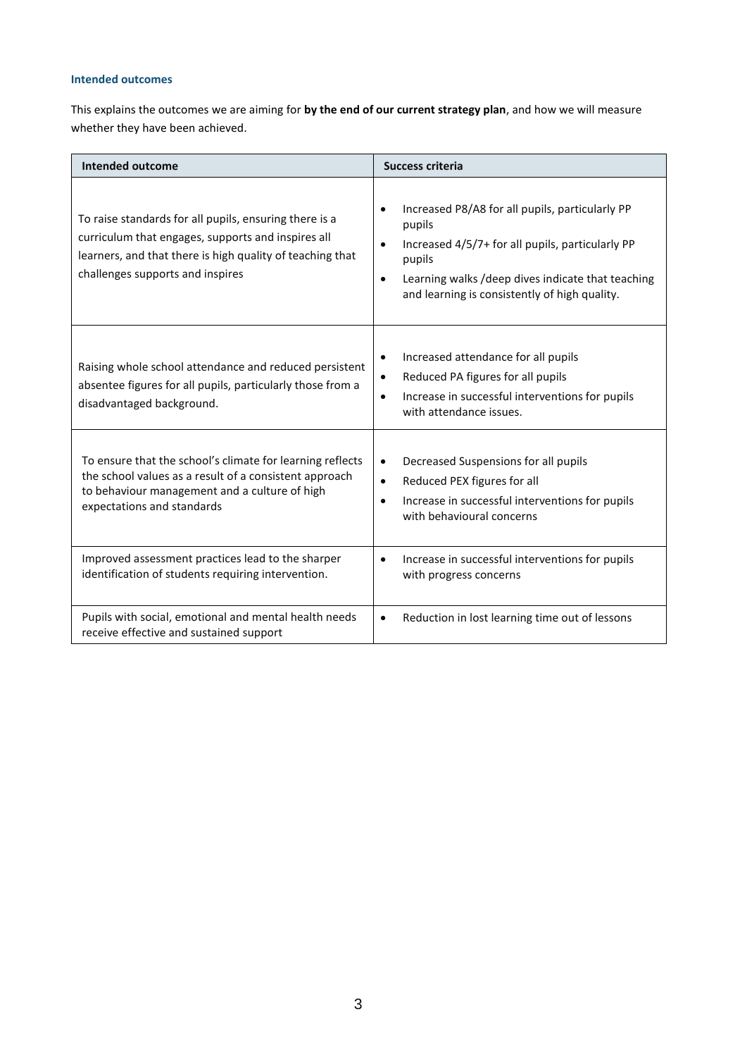## **Intended outcomes**

This explains the outcomes we are aiming for **by the end of our current strategy plan**, and how we will measure whether they have been achieved.

| <b>Intended outcome</b>                                                                                                                                                                                       | <b>Success criteria</b>                                                                                                                                                                                                                                              |
|---------------------------------------------------------------------------------------------------------------------------------------------------------------------------------------------------------------|----------------------------------------------------------------------------------------------------------------------------------------------------------------------------------------------------------------------------------------------------------------------|
| To raise standards for all pupils, ensuring there is a<br>curriculum that engages, supports and inspires all<br>learners, and that there is high quality of teaching that<br>challenges supports and inspires | Increased P8/A8 for all pupils, particularly PP<br>$\bullet$<br>pupils<br>Increased 4/5/7+ for all pupils, particularly PP<br>$\bullet$<br>pupils<br>Learning walks /deep dives indicate that teaching<br>$\bullet$<br>and learning is consistently of high quality. |
| Raising whole school attendance and reduced persistent<br>absentee figures for all pupils, particularly those from a<br>disadvantaged background.                                                             | Increased attendance for all pupils<br>$\bullet$<br>Reduced PA figures for all pupils<br>$\bullet$<br>Increase in successful interventions for pupils<br>$\bullet$<br>with attendance issues.                                                                        |
| To ensure that the school's climate for learning reflects<br>the school values as a result of a consistent approach<br>to behaviour management and a culture of high<br>expectations and standards            | Decreased Suspensions for all pupils<br>$\bullet$<br>Reduced PEX figures for all<br>$\bullet$<br>Increase in successful interventions for pupils<br>$\bullet$<br>with behavioural concerns                                                                           |
| Improved assessment practices lead to the sharper<br>identification of students requiring intervention.                                                                                                       | Increase in successful interventions for pupils<br>$\bullet$<br>with progress concerns                                                                                                                                                                               |
| Pupils with social, emotional and mental health needs<br>receive effective and sustained support                                                                                                              | Reduction in lost learning time out of lessons<br>$\bullet$                                                                                                                                                                                                          |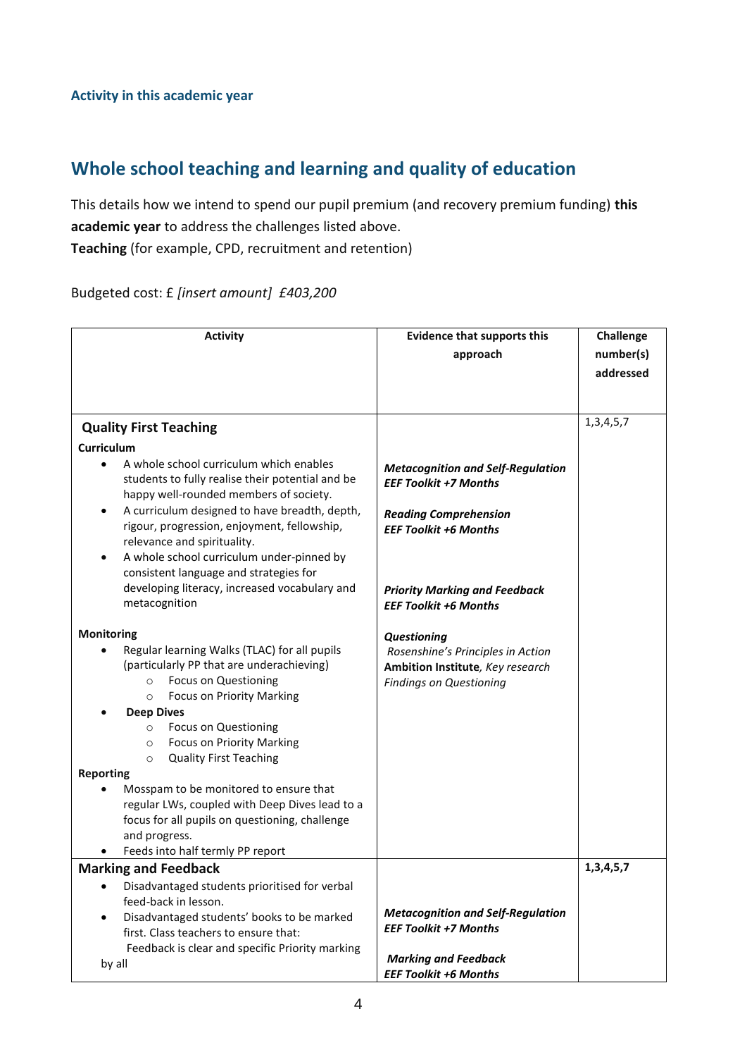## **Whole school teaching and learning and quality of education**

This details how we intend to spend our pupil premium (and recovery premium funding) **this academic year** to address the challenges listed above.

**Teaching** (for example, CPD, recruitment and retention)

Budgeted cost: £ *[insert amount] £403,200*

| <b>Activity</b>                                                                                                                                                                                                           | <b>Evidence that supports this</b><br>approach                                                                                          | Challenge<br>number(s)<br>addressed |
|---------------------------------------------------------------------------------------------------------------------------------------------------------------------------------------------------------------------------|-----------------------------------------------------------------------------------------------------------------------------------------|-------------------------------------|
| <b>Quality First Teaching</b>                                                                                                                                                                                             |                                                                                                                                         | 1, 3, 4, 5, 7                       |
| Curriculum                                                                                                                                                                                                                |                                                                                                                                         |                                     |
| A whole school curriculum which enables<br>$\bullet$<br>students to fully realise their potential and be<br>happy well-rounded members of society.                                                                        | <b>Metacognition and Self-Regulation</b><br><b>EEF Toolkit +7 Months</b>                                                                |                                     |
| A curriculum designed to have breadth, depth,<br>$\bullet$<br>rigour, progression, enjoyment, fellowship,<br>relevance and spirituality.                                                                                  | <b>Reading Comprehension</b><br><b>EEF Toolkit +6 Months</b>                                                                            |                                     |
| A whole school curriculum under-pinned by<br>$\bullet$<br>consistent language and strategies for<br>developing literacy, increased vocabulary and<br>metacognition                                                        | <b>Priority Marking and Feedback</b><br><b>EEF Toolkit +6 Months</b>                                                                    |                                     |
| Monitoring<br>Regular learning Walks (TLAC) for all pupils<br>(particularly PP that are underachieving)<br><b>Focus on Questioning</b><br>$\circ$<br><b>Focus on Priority Marking</b><br>$\circ$<br><b>Deep Dives</b>     | Questioning<br>Rosenshine's Principles in Action<br>Ambition Institute, Key research<br><b>Findings on Questioning</b>                  |                                     |
| <b>Focus on Questioning</b><br>$\circ$<br><b>Focus on Priority Marking</b><br>$\circ$<br><b>Quality First Teaching</b><br>$\circ$                                                                                         |                                                                                                                                         |                                     |
| <b>Reporting</b><br>Mosspam to be monitored to ensure that<br>regular LWs, coupled with Deep Dives lead to a<br>focus for all pupils on questioning, challenge<br>and progress.<br>Feeds into half termly PP report       |                                                                                                                                         |                                     |
| <b>Marking and Feedback</b>                                                                                                                                                                                               |                                                                                                                                         | 1, 3, 4, 5, 7                       |
| Disadvantaged students prioritised for verbal<br>feed-back in lesson.<br>Disadvantaged students' books to be marked<br>first. Class teachers to ensure that:<br>Feedback is clear and specific Priority marking<br>by all | <b>Metacognition and Self-Regulation</b><br><b>EEF Toolkit +7 Months</b><br><b>Marking and Feedback</b><br><b>EEF Toolkit +6 Months</b> |                                     |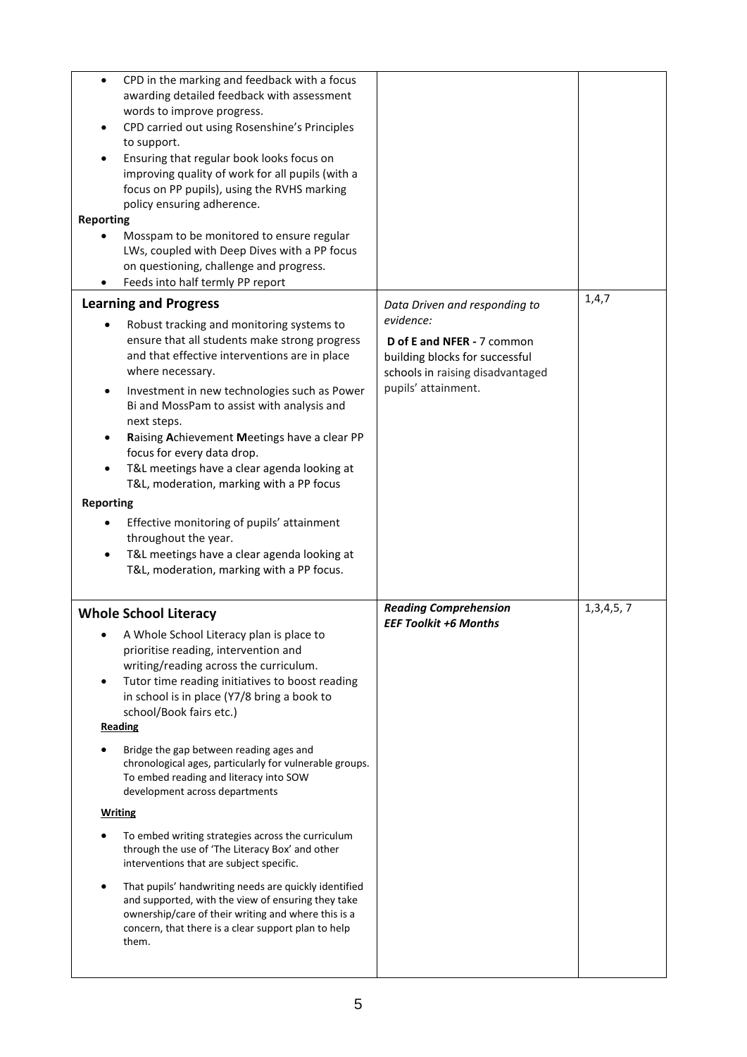| $\bullet$<br><b>Reporting</b>          | CPD in the marking and feedback with a focus<br>awarding detailed feedback with assessment<br>words to improve progress.<br>CPD carried out using Rosenshine's Principles<br>to support.<br>Ensuring that regular book looks focus on<br>improving quality of work for all pupils (with a<br>focus on PP pupils), using the RVHS marking<br>policy ensuring adherence.<br>Mosspam to be monitored to ensure regular<br>LWs, coupled with Deep Dives with a PP focus<br>on questioning, challenge and progress.<br>Feeds into half termly PP report                                                                                                                                                                                                                                                                                  |                                                                                                                                      |           |
|----------------------------------------|-------------------------------------------------------------------------------------------------------------------------------------------------------------------------------------------------------------------------------------------------------------------------------------------------------------------------------------------------------------------------------------------------------------------------------------------------------------------------------------------------------------------------------------------------------------------------------------------------------------------------------------------------------------------------------------------------------------------------------------------------------------------------------------------------------------------------------------|--------------------------------------------------------------------------------------------------------------------------------------|-----------|
|                                        | <b>Learning and Progress</b>                                                                                                                                                                                                                                                                                                                                                                                                                                                                                                                                                                                                                                                                                                                                                                                                        | Data Driven and responding to                                                                                                        | 1,4,7     |
| <b>Reporting</b>                       | Robust tracking and monitoring systems to<br>ensure that all students make strong progress<br>and that effective interventions are in place<br>where necessary.<br>Investment in new technologies such as Power<br>Bi and MossPam to assist with analysis and<br>next steps.<br>Raising Achievement Meetings have a clear PP<br>focus for every data drop.<br>T&L meetings have a clear agenda looking at<br>T&L, moderation, marking with a PP focus<br>Effective monitoring of pupils' attainment<br>throughout the year.<br>T&L meetings have a clear agenda looking at<br>T&L, moderation, marking with a PP focus.                                                                                                                                                                                                             | evidence:<br>D of E and NFER - 7 common<br>building blocks for successful<br>schools in raising disadvantaged<br>pupils' attainment. |           |
|                                        | <b>Whole School Literacy</b>                                                                                                                                                                                                                                                                                                                                                                                                                                                                                                                                                                                                                                                                                                                                                                                                        | <b>Reading Comprehension</b>                                                                                                         | 1,3,4,5,7 |
| $\bullet$<br>Reading<br><b>Writing</b> | A Whole School Literacy plan is place to<br>prioritise reading, intervention and<br>writing/reading across the curriculum.<br>Tutor time reading initiatives to boost reading<br>in school is in place (Y7/8 bring a book to<br>school/Book fairs etc.)<br>Bridge the gap between reading ages and<br>chronological ages, particularly for vulnerable groups.<br>To embed reading and literacy into SOW<br>development across departments<br>To embed writing strategies across the curriculum<br>through the use of 'The Literacy Box' and other<br>interventions that are subject specific.<br>That pupils' handwriting needs are quickly identified<br>and supported, with the view of ensuring they take<br>ownership/care of their writing and where this is a<br>concern, that there is a clear support plan to help<br>them. | <b>EEF Toolkit +6 Months</b>                                                                                                         |           |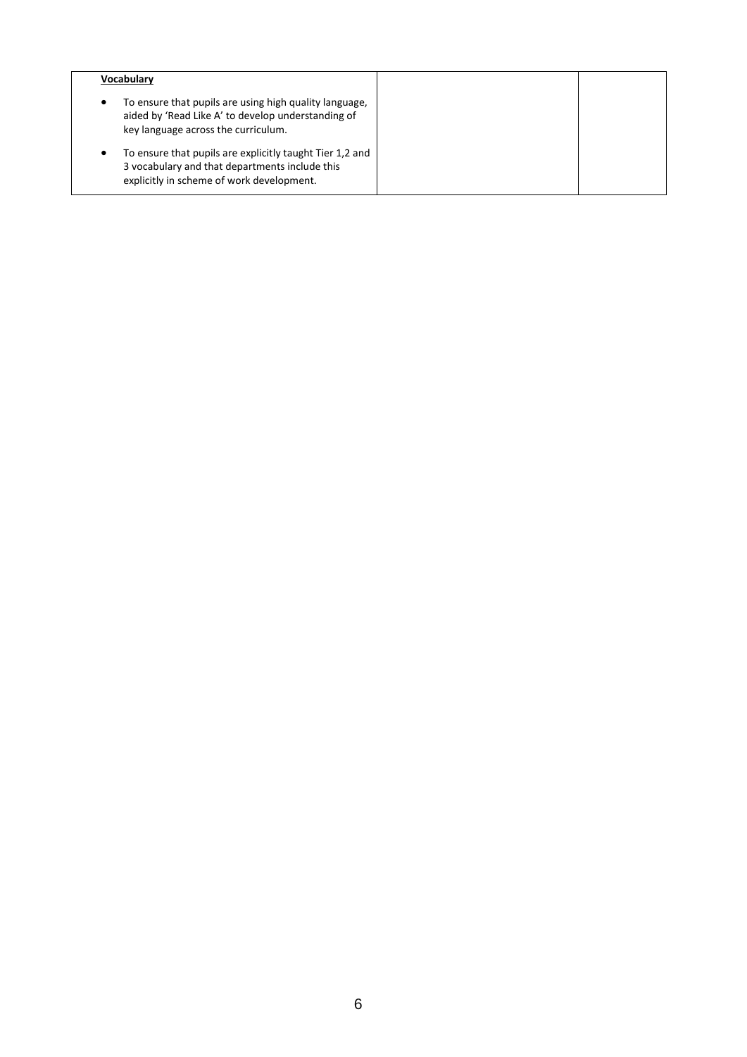| <b>Vocabularv</b>                                                                                                                                            |  |
|--------------------------------------------------------------------------------------------------------------------------------------------------------------|--|
| To ensure that pupils are using high quality language,<br>٠<br>aided by 'Read Like A' to develop understanding of<br>key language across the curriculum.     |  |
| To ensure that pupils are explicitly taught Tier 1.2 and<br>٠<br>3 vocabulary and that departments include this<br>explicitly in scheme of work development. |  |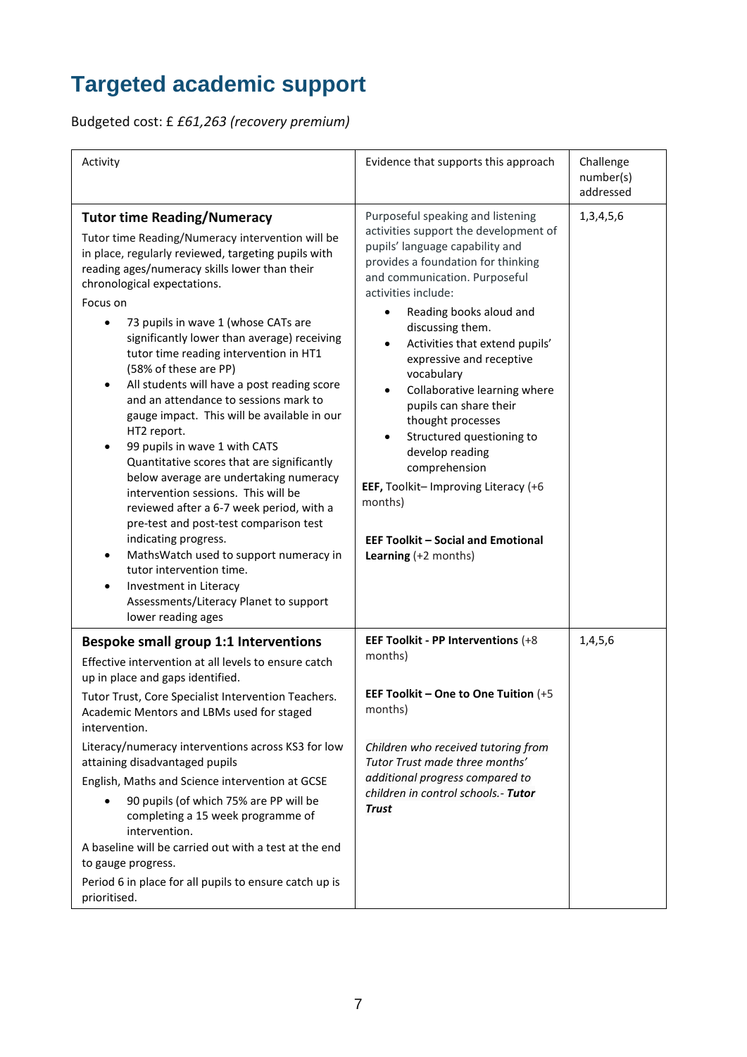# **Targeted academic support**

Budgeted cost: £ *£61,263 (recovery premium)*

| Activity                                                                                                                                                                                                                                                                                                                                                                                                                                                                                                                                                                                                                                                                                                                                                                                                                                                                                                                                                                                                                         | Evidence that supports this approach                                                                                                                                                                                                                                                                                                                                                                                                                                                                                                                                                                                            | Challenge<br>number(s)<br>addressed |
|----------------------------------------------------------------------------------------------------------------------------------------------------------------------------------------------------------------------------------------------------------------------------------------------------------------------------------------------------------------------------------------------------------------------------------------------------------------------------------------------------------------------------------------------------------------------------------------------------------------------------------------------------------------------------------------------------------------------------------------------------------------------------------------------------------------------------------------------------------------------------------------------------------------------------------------------------------------------------------------------------------------------------------|---------------------------------------------------------------------------------------------------------------------------------------------------------------------------------------------------------------------------------------------------------------------------------------------------------------------------------------------------------------------------------------------------------------------------------------------------------------------------------------------------------------------------------------------------------------------------------------------------------------------------------|-------------------------------------|
| <b>Tutor time Reading/Numeracy</b><br>Tutor time Reading/Numeracy intervention will be<br>in place, regularly reviewed, targeting pupils with<br>reading ages/numeracy skills lower than their<br>chronological expectations.<br>Focus on<br>73 pupils in wave 1 (whose CATs are<br>significantly lower than average) receiving<br>tutor time reading intervention in HT1<br>(58% of these are PP)<br>All students will have a post reading score<br>and an attendance to sessions mark to<br>gauge impact. This will be available in our<br>HT2 report.<br>99 pupils in wave 1 with CATS<br>Quantitative scores that are significantly<br>below average are undertaking numeracy<br>intervention sessions. This will be<br>reviewed after a 6-7 week period, with a<br>pre-test and post-test comparison test<br>indicating progress.<br>MathsWatch used to support numeracy in<br>$\bullet$<br>tutor intervention time.<br>Investment in Literacy<br>$\bullet$<br>Assessments/Literacy Planet to support<br>lower reading ages | Purposeful speaking and listening<br>activities support the development of<br>pupils' language capability and<br>provides a foundation for thinking<br>and communication. Purposeful<br>activities include:<br>Reading books aloud and<br>٠<br>discussing them.<br>Activities that extend pupils'<br>$\bullet$<br>expressive and receptive<br>vocabulary<br>Collaborative learning where<br>pupils can share their<br>thought processes<br>Structured questioning to<br>develop reading<br>comprehension<br>EEF, Toolkit-Improving Literacy (+6<br>months)<br><b>EEF Toolkit - Social and Emotional</b><br>Learning (+2 months) | 1, 3, 4, 5, 6                       |
| <b>Bespoke small group 1:1 Interventions</b><br>Effective intervention at all levels to ensure catch<br>up in place and gaps identified.<br>Tutor Trust, Core Specialist Intervention Teachers.                                                                                                                                                                                                                                                                                                                                                                                                                                                                                                                                                                                                                                                                                                                                                                                                                                  | EEF Toolkit - PP Interventions (+8<br>months)<br>EEF Toolkit - One to One Tuition (+5                                                                                                                                                                                                                                                                                                                                                                                                                                                                                                                                           | 1,4,5,6                             |
| Academic Mentors and LBMs used for staged<br>intervention.                                                                                                                                                                                                                                                                                                                                                                                                                                                                                                                                                                                                                                                                                                                                                                                                                                                                                                                                                                       | months)                                                                                                                                                                                                                                                                                                                                                                                                                                                                                                                                                                                                                         |                                     |
| Literacy/numeracy interventions across KS3 for low<br>attaining disadvantaged pupils<br>English, Maths and Science intervention at GCSE                                                                                                                                                                                                                                                                                                                                                                                                                                                                                                                                                                                                                                                                                                                                                                                                                                                                                          | Children who received tutoring from<br>Tutor Trust made three months'<br>additional progress compared to                                                                                                                                                                                                                                                                                                                                                                                                                                                                                                                        |                                     |
| 90 pupils (of which 75% are PP will be<br>completing a 15 week programme of<br>intervention.<br>A baseline will be carried out with a test at the end<br>to gauge progress.                                                                                                                                                                                                                                                                                                                                                                                                                                                                                                                                                                                                                                                                                                                                                                                                                                                      | children in control schools.- Tutor<br><b>Trust</b>                                                                                                                                                                                                                                                                                                                                                                                                                                                                                                                                                                             |                                     |
| Period 6 in place for all pupils to ensure catch up is<br>prioritised.                                                                                                                                                                                                                                                                                                                                                                                                                                                                                                                                                                                                                                                                                                                                                                                                                                                                                                                                                           |                                                                                                                                                                                                                                                                                                                                                                                                                                                                                                                                                                                                                                 |                                     |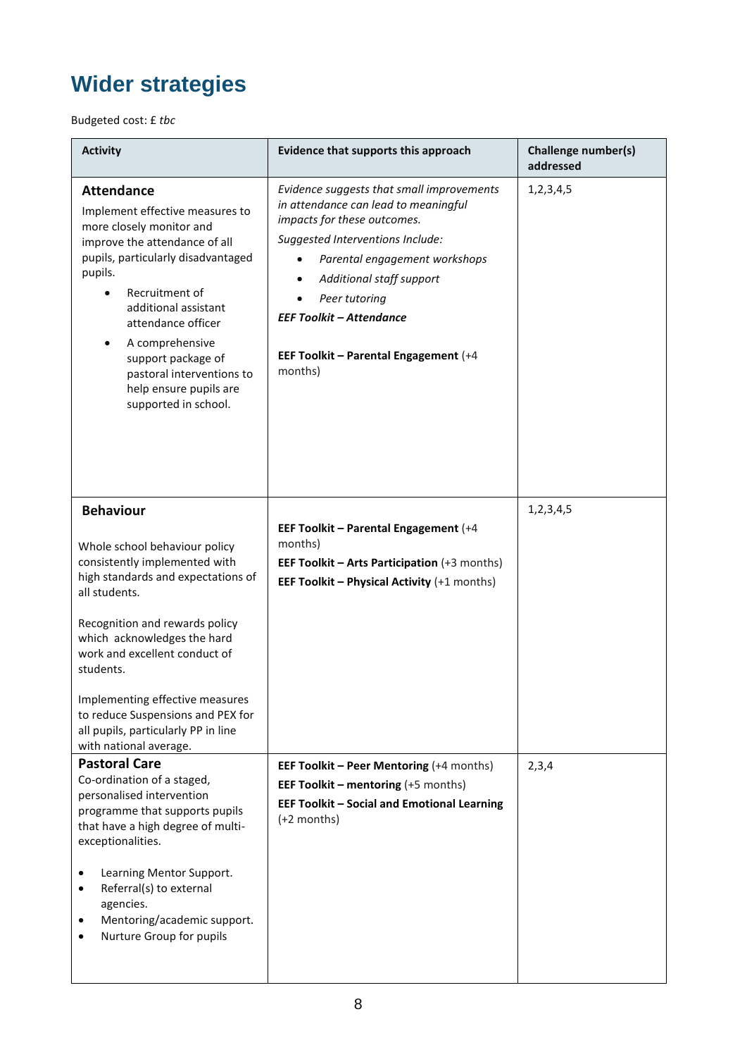# **Wider strategies**

Budgeted cost: £ *tbc*

| <b>Activity</b>                                                                                                                                                                                                                                                                                                                                                                                   | Evidence that supports this approach                                                                                                                                                                                                                                                                                      | <b>Challenge number(s)</b><br>addressed |
|---------------------------------------------------------------------------------------------------------------------------------------------------------------------------------------------------------------------------------------------------------------------------------------------------------------------------------------------------------------------------------------------------|---------------------------------------------------------------------------------------------------------------------------------------------------------------------------------------------------------------------------------------------------------------------------------------------------------------------------|-----------------------------------------|
| <b>Attendance</b><br>Implement effective measures to<br>more closely monitor and<br>improve the attendance of all<br>pupils, particularly disadvantaged<br>pupils.<br>Recruitment of<br>additional assistant<br>attendance officer<br>A comprehensive<br>support package of<br>pastoral interventions to<br>help ensure pupils are<br>supported in school.                                        | Evidence suggests that small improvements<br>in attendance can lead to meaningful<br>impacts for these outcomes.<br>Suggested Interventions Include:<br>Parental engagement workshops<br>Additional staff support<br>Peer tutoring<br><b>EEF Toolkit - Attendance</b><br>EEF Toolkit - Parental Engagement (+4<br>months) | 1, 2, 3, 4, 5                           |
| <b>Behaviour</b><br>Whole school behaviour policy<br>consistently implemented with<br>high standards and expectations of<br>all students.<br>Recognition and rewards policy<br>which acknowledges the hard<br>work and excellent conduct of<br>students.<br>Implementing effective measures<br>to reduce Suspensions and PEX for<br>all pupils, particularly PP in line<br>with national average. | EEF Toolkit - Parental Engagement (+4<br>months)<br>EEF Toolkit - Arts Participation (+3 months)<br>EEF Toolkit - Physical Activity (+1 months)                                                                                                                                                                           | 1, 2, 3, 4, 5                           |
| <b>Pastoral Care</b><br>Co-ordination of a staged,<br>personalised intervention<br>programme that supports pupils<br>that have a high degree of multi-<br>exceptionalities.<br>Learning Mentor Support.<br>$\bullet$<br>Referral(s) to external<br>$\bullet$<br>agencies.<br>Mentoring/academic support.<br>$\bullet$<br>Nurture Group for pupils                                                 | EEF Toolkit - Peer Mentoring (+4 months)<br><b>EEF Toolkit - mentoring (+5 months)</b><br><b>EEF Toolkit - Social and Emotional Learning</b><br>(+2 months)                                                                                                                                                               | 2,3,4                                   |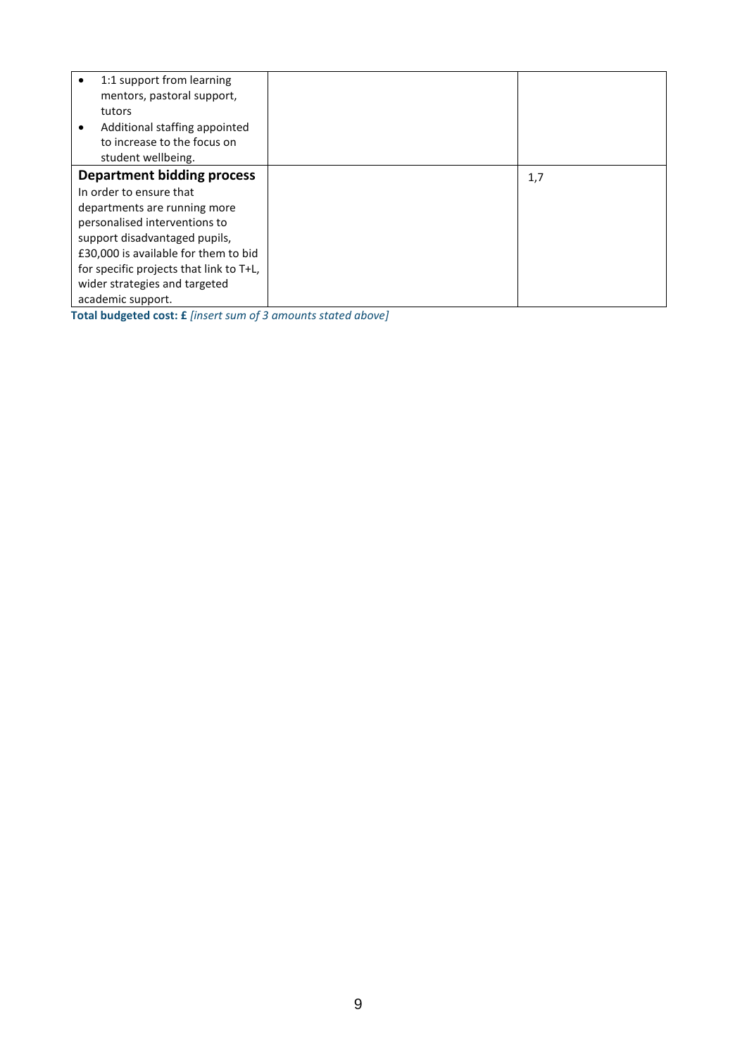| ٠ | 1:1 support from learning<br>mentors, pastoral support,<br>tutors<br>Additional staffing appointed<br>to increase to the focus on<br>student wellbeing. |     |
|---|---------------------------------------------------------------------------------------------------------------------------------------------------------|-----|
|   | <b>Department bidding process</b>                                                                                                                       | 1,7 |
|   | In order to ensure that                                                                                                                                 |     |
|   | departments are running more                                                                                                                            |     |
|   | personalised interventions to                                                                                                                           |     |
|   | support disadvantaged pupils,                                                                                                                           |     |
|   | £30,000 is available for them to bid                                                                                                                    |     |
|   | for specific projects that link to T+L,                                                                                                                 |     |
|   | wider strategies and targeted                                                                                                                           |     |
|   | academic support.                                                                                                                                       |     |

**Total budgeted cost: £** *[insert sum of 3 amounts stated above]*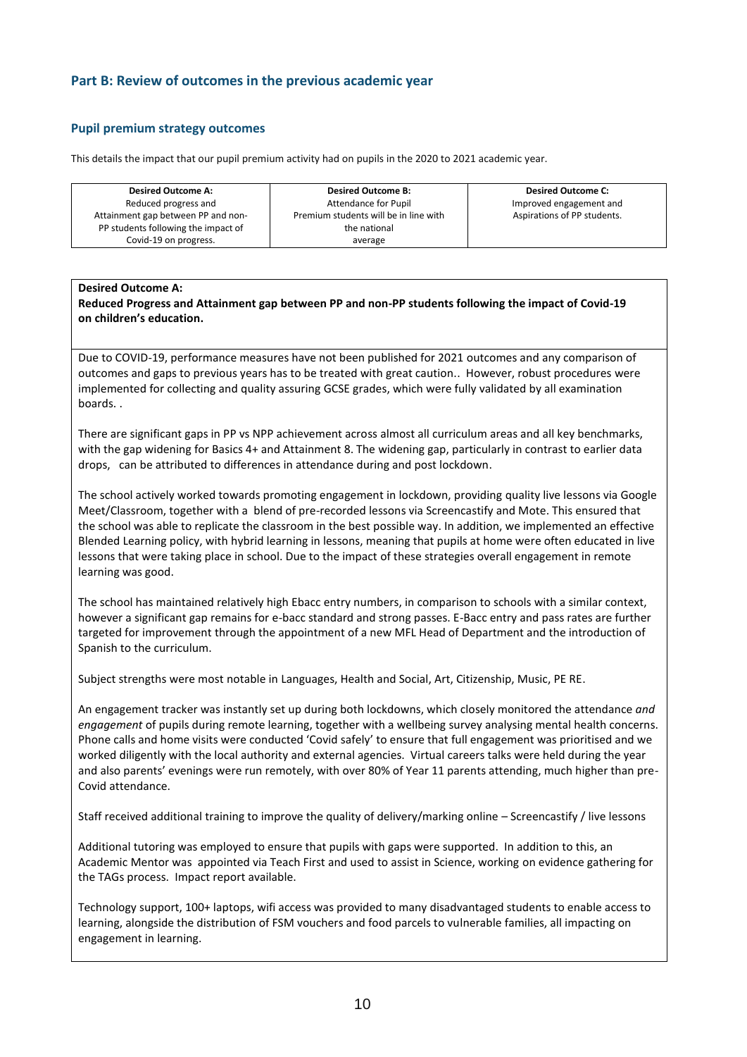## **Part B: Review of outcomes in the previous academic year**

#### **Pupil premium strategy outcomes**

This details the impact that our pupil premium activity had on pupils in the 2020 to 2021 academic year.

| <b>Desired Outcome A:</b>           | <b>Desired Outcome B:</b>             | <b>Desired Outcome C:</b>   |
|-------------------------------------|---------------------------------------|-----------------------------|
| Reduced progress and                | Attendance for Pupil                  | Improved engagement and     |
| Attainment gap between PP and non-  | Premium students will be in line with | Aspirations of PP students. |
| PP students following the impact of | the national                          |                             |
| Covid-19 on progress.               | average                               |                             |

#### **Desired Outcome A:**

**Reduced Progress and Attainment gap between PP and non-PP students following the impact of Covid-19 on children's education.**

Due to COVID-19, performance measures have not been published for 2021 outcomes and any comparison of outcomes and gaps to previous years has to be treated with great caution.. However, robust procedures were implemented for collecting and quality assuring GCSE grades, which were fully validated by all examination boards. .

There are significant gaps in PP vs NPP achievement across almost all curriculum areas and all key benchmarks, with the gap widening for Basics 4+ and Attainment 8. The widening gap, particularly in contrast to earlier data drops, can be attributed to differences in attendance during and post lockdown.

The school actively worked towards promoting engagement in lockdown, providing quality live lessons via Google Meet/Classroom, together with a blend of pre-recorded lessons via Screencastify and Mote. This ensured that the school was able to replicate the classroom in the best possible way. In addition, we implemented an effective Blended Learning policy, with hybrid learning in lessons, meaning that pupils at home were often educated in live lessons that were taking place in school. Due to the impact of these strategies overall engagement in remote learning was good.

The school has maintained relatively high Ebacc entry numbers, in comparison to schools with a similar context, however a significant gap remains for e-bacc standard and strong passes. E-Bacc entry and pass rates are further targeted for improvement through the appointment of a new MFL Head of Department and the introduction of Spanish to the curriculum.

Subject strengths were most notable in Languages, Health and Social, Art, Citizenship, Music, PE RE.

An engagement tracker was instantly set up during both lockdowns, which closely monitored the attendance *and engagement* of pupils during remote learning, together with a wellbeing survey analysing mental health concerns. Phone calls and home visits were conducted 'Covid safely' to ensure that full engagement was prioritised and we worked diligently with the local authority and external agencies. Virtual careers talks were held during the year and also parents' evenings were run remotely, with over 80% of Year 11 parents attending, much higher than pre-Covid attendance.

Staff received additional training to improve the quality of delivery/marking online – Screencastify / live lessons

Additional tutoring was employed to ensure that pupils with gaps were supported. In addition to this, an Academic Mentor was appointed via Teach First and used to assist in Science, working on evidence gathering for the TAGs process. Impact report available.

Technology support, 100+ laptops, wifi access was provided to many disadvantaged students to enable access to learning, alongside the distribution of FSM vouchers and food parcels to vulnerable families, all impacting on engagement in learning.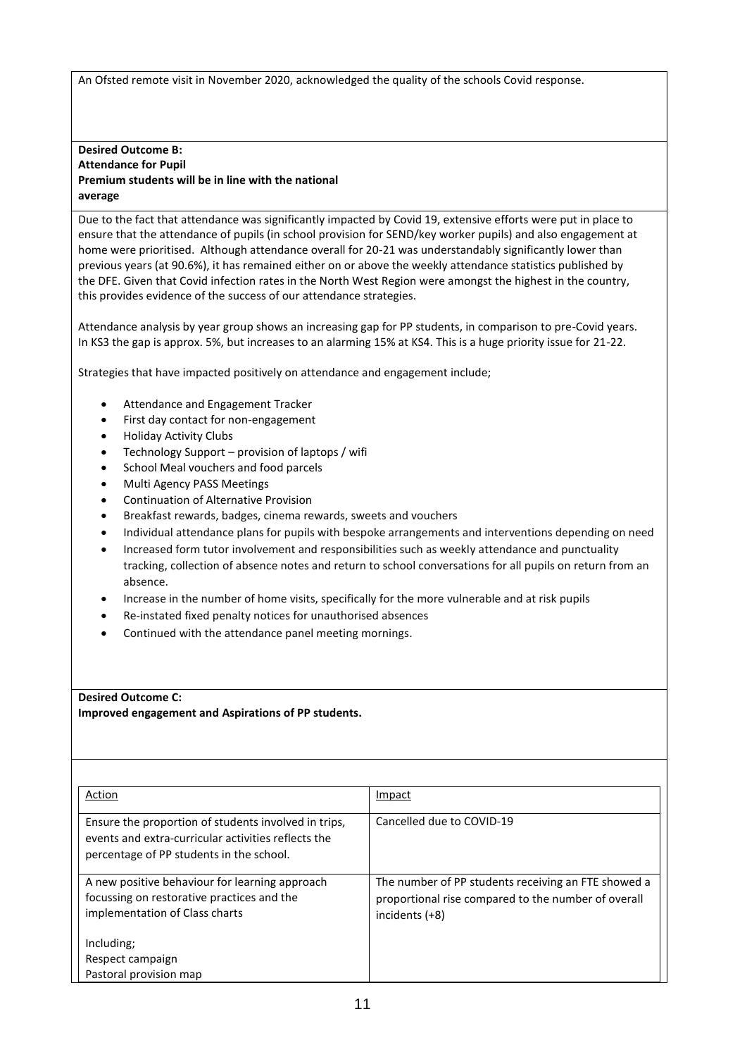An Ofsted remote visit in November 2020, acknowledged the quality of the schools Covid response.

#### **Desired Outcome B: Attendance for Pupil Premium students will be in line with the national average**

Due to the fact that attendance was significantly impacted by Covid 19, extensive efforts were put in place to ensure that the attendance of pupils (in school provision for SEND/key worker pupils) and also engagement at home were prioritised. Although attendance overall for 20-21 was understandably significantly lower than previous years (at 90.6%), it has remained either on or above the weekly attendance statistics published by the DFE. Given that Covid infection rates in the North West Region were amongst the highest in the country, this provides evidence of the success of our attendance strategies.

Attendance analysis by year group shows an increasing gap for PP students, in comparison to pre-Covid years. In KS3 the gap is approx. 5%, but increases to an alarming 15% at KS4. This is a huge priority issue for 21-22.

Strategies that have impacted positively on attendance and engagement include;

- Attendance and Engagement Tracker
- First day contact for non-engagement
- Holiday Activity Clubs
- Technology Support provision of laptops / wifi
- School Meal vouchers and food parcels
- Multi Agency PASS Meetings
- Continuation of Alternative Provision
- Breakfast rewards, badges, cinema rewards, sweets and vouchers
- Individual attendance plans for pupils with bespoke arrangements and interventions depending on need
- Increased form tutor involvement and responsibilities such as weekly attendance and punctuality tracking, collection of absence notes and return to school conversations for all pupils on return from an absence.
- Increase in the number of home visits, specifically for the more vulnerable and at risk pupils
- Re-instated fixed penalty notices for unauthorised absences
- Continued with the attendance panel meeting mornings.

#### **Desired Outcome C:**

**Improved engagement and Aspirations of PP students.**

| Action                                                                                                                                                  | Impact                                                                                                                       |
|---------------------------------------------------------------------------------------------------------------------------------------------------------|------------------------------------------------------------------------------------------------------------------------------|
| Ensure the proportion of students involved in trips,<br>events and extra-curricular activities reflects the<br>percentage of PP students in the school. | Cancelled due to COVID-19                                                                                                    |
| A new positive behaviour for learning approach<br>focussing on restorative practices and the<br>implementation of Class charts                          | The number of PP students receiving an FTE showed a<br>proportional rise compared to the number of overall<br>incidents (+8) |
| Including;<br>Respect campaign                                                                                                                          |                                                                                                                              |
| Pastoral provision map                                                                                                                                  |                                                                                                                              |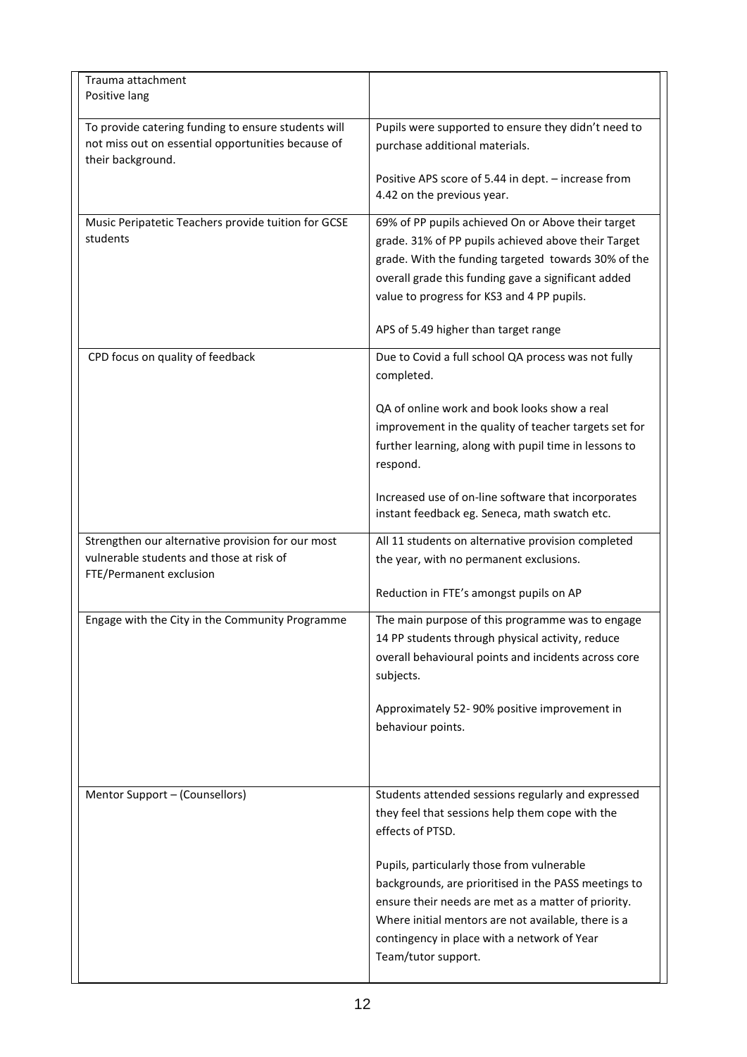| Trauma attachment<br>Positive lang                                                                                       |                                                                                                                                                                                                                                                                                        |
|--------------------------------------------------------------------------------------------------------------------------|----------------------------------------------------------------------------------------------------------------------------------------------------------------------------------------------------------------------------------------------------------------------------------------|
| To provide catering funding to ensure students will<br>not miss out on essential opportunities because of                | Pupils were supported to ensure they didn't need to<br>purchase additional materials.                                                                                                                                                                                                  |
| their background.                                                                                                        | Positive APS score of 5.44 in dept. - increase from<br>4.42 on the previous year.                                                                                                                                                                                                      |
| Music Peripatetic Teachers provide tuition for GCSE<br>students                                                          | 69% of PP pupils achieved On or Above their target<br>grade. 31% of PP pupils achieved above their Target<br>grade. With the funding targeted towards 30% of the<br>overall grade this funding gave a significant added<br>value to progress for KS3 and 4 PP pupils.                  |
|                                                                                                                          | APS of 5.49 higher than target range                                                                                                                                                                                                                                                   |
| CPD focus on quality of feedback                                                                                         | Due to Covid a full school QA process was not fully<br>completed.                                                                                                                                                                                                                      |
|                                                                                                                          | QA of online work and book looks show a real<br>improvement in the quality of teacher targets set for<br>further learning, along with pupil time in lessons to<br>respond.                                                                                                             |
|                                                                                                                          | Increased use of on-line software that incorporates<br>instant feedback eg. Seneca, math swatch etc.                                                                                                                                                                                   |
| Strengthen our alternative provision for our most<br>vulnerable students and those at risk of<br>FTE/Permanent exclusion | All 11 students on alternative provision completed<br>the year, with no permanent exclusions.                                                                                                                                                                                          |
|                                                                                                                          | Reduction in FTE's amongst pupils on AP                                                                                                                                                                                                                                                |
| Engage with the City in the Community Programme                                                                          | The main purpose of this programme was to engage<br>14 PP students through physical activity, reduce<br>overall behavioural points and incidents across core<br>subjects.                                                                                                              |
|                                                                                                                          | Approximately 52-90% positive improvement in<br>behaviour points.                                                                                                                                                                                                                      |
| Mentor Support - (Counsellors)                                                                                           | Students attended sessions regularly and expressed<br>they feel that sessions help them cope with the<br>effects of PTSD.                                                                                                                                                              |
|                                                                                                                          | Pupils, particularly those from vulnerable<br>backgrounds, are prioritised in the PASS meetings to<br>ensure their needs are met as a matter of priority.<br>Where initial mentors are not available, there is a<br>contingency in place with a network of Year<br>Team/tutor support. |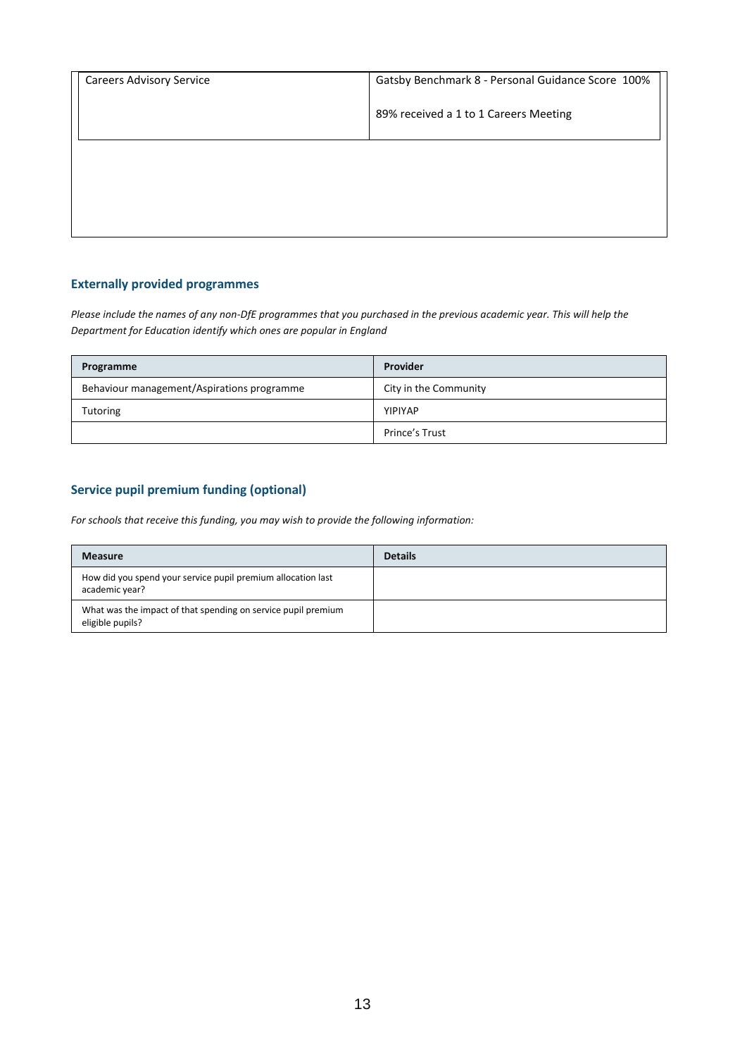| <b>Careers Advisory Service</b> | Gatsby Benchmark 8 - Personal Guidance Score 100% |
|---------------------------------|---------------------------------------------------|
|                                 | 89% received a 1 to 1 Careers Meeting             |
|                                 |                                                   |
|                                 |                                                   |
|                                 |                                                   |

## **Externally provided programmes**

*Please include the names of any non-DfE programmes that you purchased in the previous academic year. This will help the Department for Education identify which ones are popular in England*

| Programme                                  | Provider              |
|--------------------------------------------|-----------------------|
| Behaviour management/Aspirations programme | City in the Community |
| <b>Tutoring</b>                            | YIPIYAP               |
|                                            | Prince's Trust        |

## **Service pupil premium funding (optional)**

*For schools that receive this funding, you may wish to provide the following information:* 

| <b>Measure</b>                                                                    | <b>Details</b> |
|-----------------------------------------------------------------------------------|----------------|
| How did you spend your service pupil premium allocation last<br>academic year?    |                |
| What was the impact of that spending on service pupil premium<br>eligible pupils? |                |